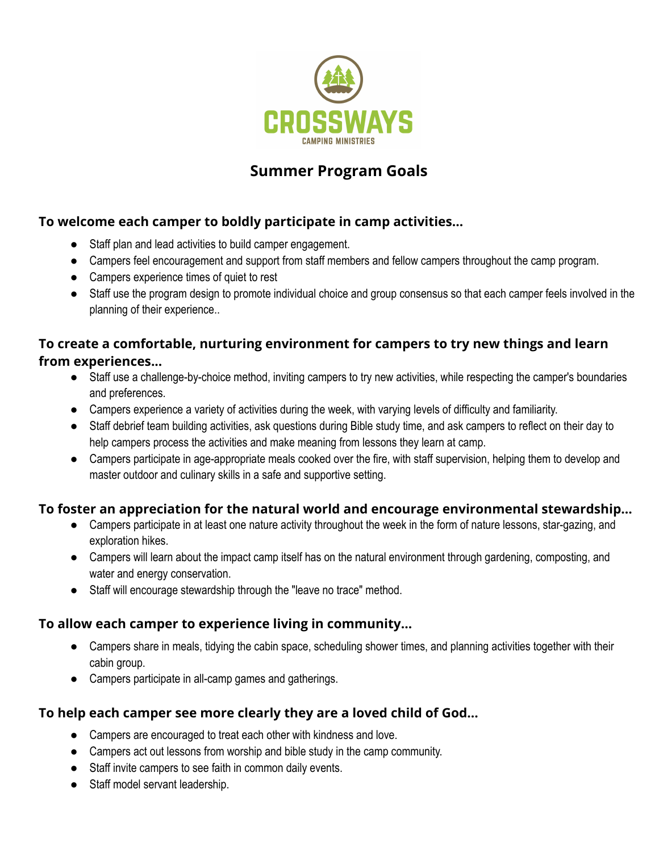

# **Summer Program Goals**

# **To welcome each camper to boldly participate in camp activities...**

- Staff plan and lead activities to build camper engagement.
- Campers feel encouragement and support from staff members and fellow campers throughout the camp program.
- Campers experience times of quiet to rest
- Staff use the program design to promote individual choice and group consensus so that each camper feels involved in the planning of their experience..

# **To create a comfortable, nurturing environment for campers to try new things and learn from experiences...**

- Staff use a challenge-by-choice method, inviting campers to try new activities, while respecting the camper's boundaries and preferences.
- Campers experience a variety of activities during the week, with varying levels of difficulty and familiarity.
- Staff debrief team building activities, ask questions during Bible study time, and ask campers to reflect on their day to help campers process the activities and make meaning from lessons they learn at camp.
- Campers participate in age-appropriate meals cooked over the fire, with staff supervision, helping them to develop and master outdoor and culinary skills in a safe and supportive setting.

# **To foster an appreciation for the natural world and encourage environmental stewardship...**

- Campers participate in at least one nature activity throughout the week in the form of nature lessons, star-gazing, and exploration hikes.
- Campers will learn about the impact camp itself has on the natural environment through gardening, composting, and water and energy conservation.
- Staff will encourage stewardship through the "leave no trace" method.

# **To allow each camper to experience living in community...**

- Campers share in meals, tidying the cabin space, scheduling shower times, and planning activities together with their cabin group.
- Campers participate in all-camp games and gatherings.

# **To help each camper see more clearly they are a loved child of God...**

- Campers are encouraged to treat each other with kindness and love.
- Campers act out lessons from worship and bible study in the camp community.
- Staff invite campers to see faith in common daily events.
- Staff model servant leadership.